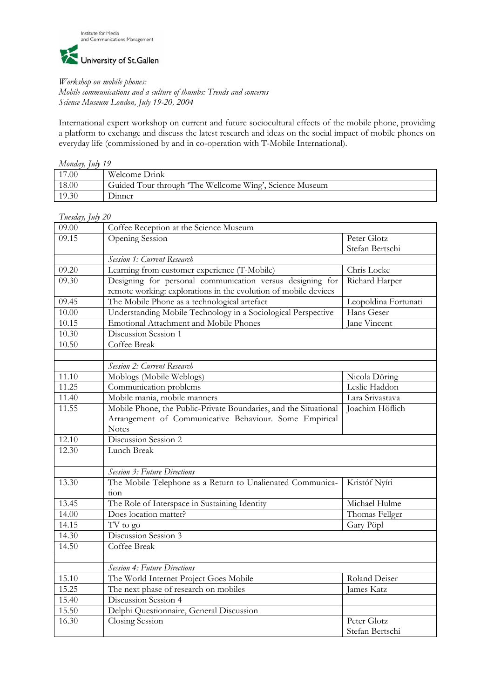

*Workshop on mobile phones:* 

*Mobile communications and a culture of thumbs: Trends and concerns Science Museum London, July 19-20, 2004* 

International expert workshop on current and future sociocultural effects of the mobile phone, providing a platform to exchange and discuss the latest research and ideas on the social impact of mobile phones on everyday life (commissioned by and in co-operation with T-Mobile International).

| Monday, July 19 |                                                         |  |
|-----------------|---------------------------------------------------------|--|
| 17.00           | Welcome Drink                                           |  |
| 18.00           | Guided Tour through 'The Wellcome Wing', Science Museum |  |
| 19.30           | <b>Dinner</b>                                           |  |

## *Tuesday, July 20*

| 09.00 | Coffee Reception at the Science Museum                           |                      |  |
|-------|------------------------------------------------------------------|----------------------|--|
| 09.15 | Opening Session                                                  | Peter Glotz          |  |
|       |                                                                  | Stefan Bertschi      |  |
|       | Session 1: Current Research                                      |                      |  |
| 09.20 | Learning from customer experience (T-Mobile)                     | Chris Locke          |  |
| 09.30 | Designing for personal communication versus designing for        | Richard Harper       |  |
|       | remote working: explorations in the evolution of mobile devices  |                      |  |
| 09.45 | The Mobile Phone as a technological artefact                     | Leopoldina Fortunati |  |
| 10.00 | Understanding Mobile Technology in a Sociological Perspective    | Hans Geser           |  |
| 10.15 | Emotional Attachment and Mobile Phones                           | Jane Vincent         |  |
| 10.30 | Discussion Session 1                                             |                      |  |
| 10.50 | Coffee Break                                                     |                      |  |
|       |                                                                  |                      |  |
|       | Session 2: Current Research                                      |                      |  |
| 11.10 | Moblogs (Mobile Weblogs)                                         | Nicola Döring        |  |
| 11.25 | Communication problems                                           | Leslie Haddon        |  |
| 11.40 | Mobile mania, mobile manners                                     | Lara Srivastava      |  |
| 11.55 | Mobile Phone, the Public-Private Boundaries, and the Situational | Joachim Höflich      |  |
|       | Arrangement of Communicative Behaviour. Some Empirical           |                      |  |
|       | <b>Notes</b>                                                     |                      |  |
| 12.10 | Discussion Session 2                                             |                      |  |
| 12.30 | Lunch Break                                                      |                      |  |
|       |                                                                  |                      |  |
|       | <b>Session 3: Future Directions</b>                              |                      |  |
| 13.30 | The Mobile Telephone as a Return to Unalienated Communica-       | Kristóf Nyíri        |  |
|       | tion                                                             |                      |  |
| 13.45 | The Role of Interspace in Sustaining Identity                    | Michael Hulme        |  |
| 14.00 | Does location matter?                                            | Thomas Fellger       |  |
| 14.15 | TV to go                                                         | Gary Pöpl            |  |
| 14.30 | Discussion Session 3                                             |                      |  |
| 14.50 | Coffee Break                                                     |                      |  |
|       |                                                                  |                      |  |
|       | <b>Session 4: Future Directions</b>                              |                      |  |
| 15.10 | The World Internet Project Goes Mobile                           | Roland Deiser        |  |
| 15.25 | The next phase of research on mobiles                            | James Katz           |  |
| 15.40 | Discussion Session 4                                             |                      |  |
| 15.50 | Delphi Questionnaire, General Discussion                         |                      |  |
| 16.30 | Closing Session                                                  | Peter Glotz          |  |
|       |                                                                  | Stefan Bertschi      |  |